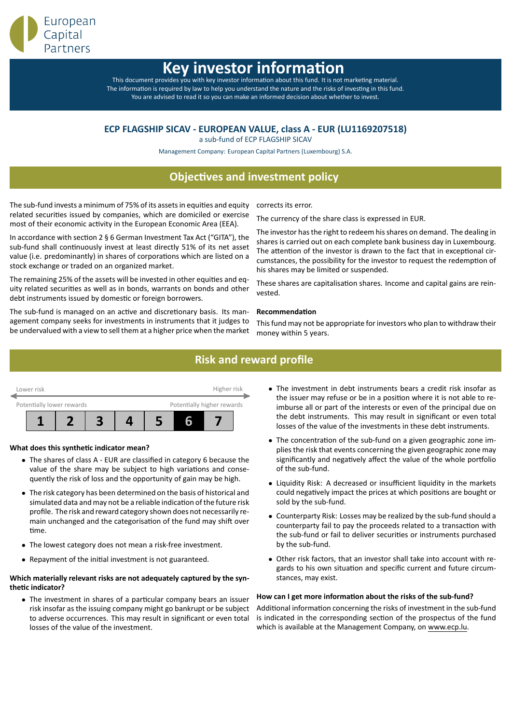

# **Key investor informa**

This document provides you with key investor information about this fund. It is not marketing material. The information is required by law to help you understand the nature and the risks of investing in this fund. You are advised to read it so you can make an informed decision about whether to invest.

## **ECP FLAGSHIP SICAV - EUROPEAN VALUE, class A - EUR (LU1169207518)**

a sub-fund of ECP FLAGSHIP SICAV

Management Company: European Capital Partners (Luxembourg) S.A.

## **Objectives and investment policy**

The sub-fund invests a minimum of 75% of its assets in equities and equity related securities issued by companies, which are domiciled or exercise most of their economic activity in the European Economic Area (EEA).

In accordance with section 2  $\S$  6 German Investment Tax Act ("GITA"), the sub-fund shall continuously invest at least directly 51% of its net asset value (i.e. predominantly) in shares of corporations which are listed on a stock exchange or traded on an organized market.

The remaining 25% of the assets will be invested in other equities and equity related securities as well as in bonds, warrants on bonds and other debt instruments issued by domestic or foreign borrowers.

The sub-fund is managed on an active and discretionary basis. Its management company seeks for investments in instruments that it judges to be undervalued with a view to sell them at a higher price when the market

corrects its error.

The currency of the share class is expressed in EUR.

The investor has the right to redeem his shares on demand. The dealing in shares is carried out on each complete bank business day in Luxembourg. The attention of the investor is drawn to the fact that in exceptional circumstances, the possibility for the investor to request the redemption of his shares may be limited or suspended.

These shares are capitalisation shares. Income and capital gains are reinvested.

### **RecommendaƟon**

This fund may not be appropriate for investors who plan to withdraw their money within 5 years.

## **Risk and reward profile**



## **What does this syntheƟc indicator mean?**

- *•* The shares of class A EUR are classified in category 6 because the value of the share may be subject to high variations and consequently the risk of loss and the opportunity of gain may be high.
- *•* The risk category has been determined on the basis of historical and simulated data and may not be a reliable indication of the future risk profile. The risk and reward category shown does not necessarily remain unchanged and the categorisation of the fund may shift over time.
- *•* The lowest category does not mean a risk-free investment.
- Repayment of the initial investment is not guaranteed.

#### **Which materially relevant risks are not adequately captured by the syntheƟc indicator?**

• The investment in shares of a particular company bears an issuer risk insofar as the issuing company might go bankrupt or be subject to adverse occurrences. This may result in significant or even total losses of the value of the investment.

- *•* The investment in debt instruments bears a credit risk insofar as the issuer may refuse or be in a position where it is not able to reimburse all or part of the interests or even of the principal due on the debt instruments. This may result in significant or even total losses of the value of the investments in these debt instruments.
- The concentration of the sub-fund on a given geographic zone implies the risk that events concerning the given geographic zone may significantly and negatively affect the value of the whole portfolio of the sub-fund.
- *•* Liquidity Risk: A decreased or insufficient liquidity in the markets could negatively impact the prices at which positions are bought or sold by the sub-fund.
- *•* Counterparty Risk: Losses may be realized by the sub-fund should a counterparty fail to pay the proceeds related to a transaction with the sub-fund or fail to deliver securities or instruments purchased by the sub-fund.
- *•* Other risk factors, that an investor shall take into account with regards to his own situation and specific current and future circumstances, may exist.

## How can I get more information about the risks of the sub-fund?

Additional information concerning the risks of investment in the sub-fund is indicated in the corresponding section of the prospectus of the fund which is available at the Management Company, on www.ecp.lu.